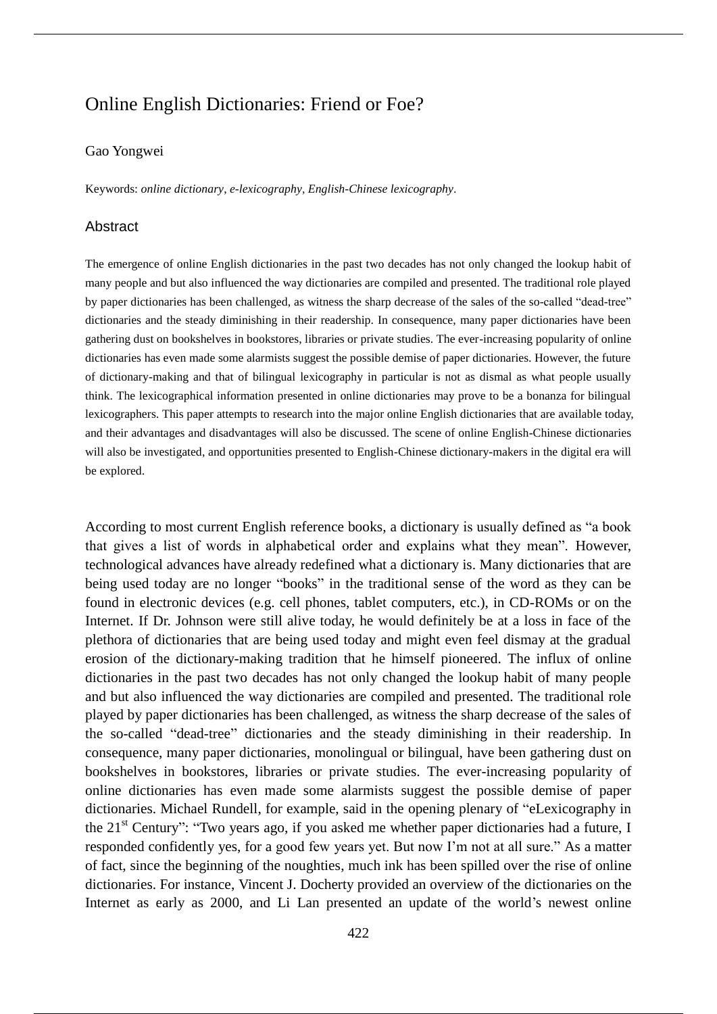# Online English Dictionaries: Friend or Foe?

# Gao Yongwei

Keywords: *online dictionary*, *e-lexicography*, *English-Chinese lexicography*.

## Abstract

The emergence of online English dictionaries in the past two decades has not only changed the lookup habit of many people and but also influenced the way dictionaries are compiled and presented. The traditional role played by paper dictionaries has been challenged, as witness the sharp decrease of the sales of the so-called "dead-tree" dictionaries and the steady diminishing in their readership. In consequence, many paper dictionaries have been gathering dust on bookshelves in bookstores, libraries or private studies. The ever-increasing popularity of online dictionaries has even made some alarmists suggest the possible demise of paper dictionaries. However, the future of dictionary-making and that of bilingual lexicography in particular is not as dismal as what people usually think. The lexicographical information presented in online dictionaries may prove to be a bonanza for bilingual lexicographers. This paper attempts to research into the major online English dictionaries that are available today, and their advantages and disadvantages will also be discussed. The scene of online English-Chinese dictionaries will also be investigated, and opportunities presented to English-Chinese dictionary-makers in the digital era will be explored.

According to most current English reference books, a dictionary is usually defined as "a book that gives a list of words in alphabetical order and explains what they mean". However, technological advances have already redefined what a dictionary is. Many dictionaries that are being used today are no longer "books" in the traditional sense of the word as they can be found in electronic devices (e.g. cell phones, tablet computers, etc.), in CD-ROMs or on the Internet. If Dr. Johnson were still alive today, he would definitely be at a loss in face of the plethora of dictionaries that are being used today and might even feel dismay at the gradual erosion of the dictionary-making tradition that he himself pioneered. The influx of online dictionaries in the past two decades has not only changed the lookup habit of many people and but also influenced the way dictionaries are compiled and presented. The traditional role played by paper dictionaries has been challenged, as witness the sharp decrease of the sales of the so-called "dead-tree" dictionaries and the steady diminishing in their readership. In consequence, many paper dictionaries, monolingual or bilingual, have been gathering dust on bookshelves in bookstores, libraries or private studies. The ever-increasing popularity of online dictionaries has even made some alarmists suggest the possible demise of paper dictionaries. Michael Rundell, for example, said in the opening plenary of "eLexicography in the  $21<sup>st</sup>$  Century": "Two years ago, if you asked me whether paper dictionaries had a future, I responded confidently yes, for a good few years yet. But now I'm not at all sure." As a matter of fact, since the beginning of the noughties, much ink has been spilled over the rise of online dictionaries. For instance, Vincent J. Docherty provided an overview of the dictionaries on the Internet as early as 2000, and Li Lan presented an update of the world's newest online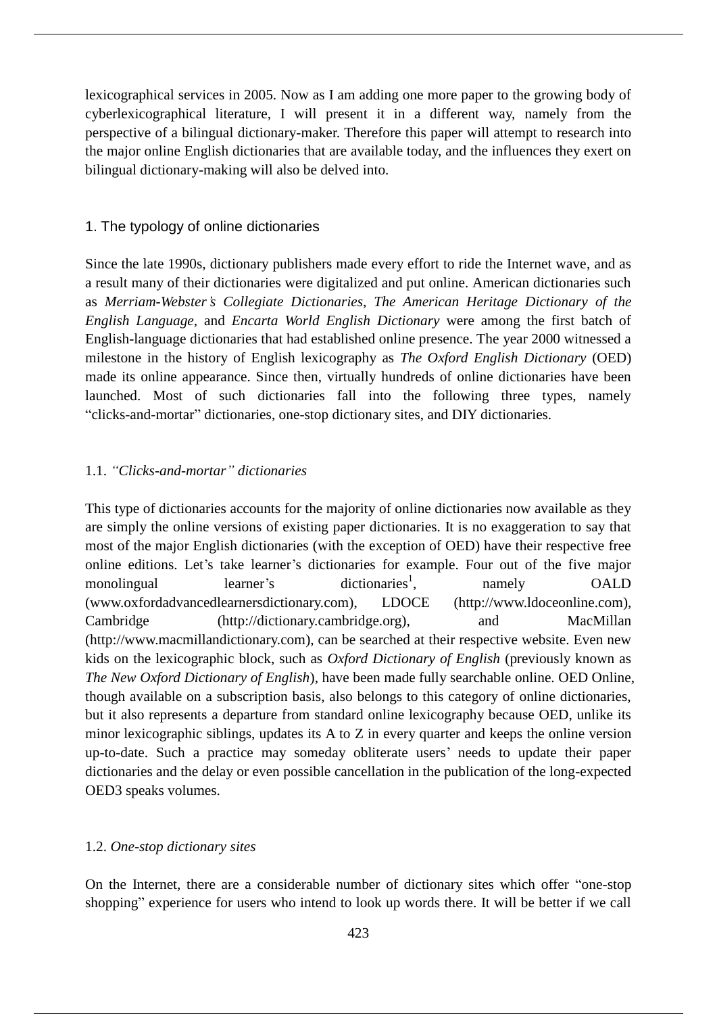lexicographical services in 2005. Now as I am adding one more paper to the growing body of cyberlexicographical literature, I will present it in a different way, namely from the perspective of a bilingual dictionary-maker. Therefore this paper will attempt to research into the major online English dictionaries that are available today, and the influences they exert on bilingual dictionary-making will also be delved into.

# 1. The typology of online dictionaries

Since the late 1990s, dictionary publishers made every effort to ride the Internet wave, and as a result many of their dictionaries were digitalized and put online. American dictionaries such as *Merriam-Webster's Collegiate Dictionaries, The American Heritage Dictionary of the English Language,* and *Encarta World English Dictionary* were among the first batch of English-language dictionaries that had established online presence. The year 2000 witnessed a milestone in the history of English lexicography as *The Oxford English Dictionary* (OED) made its online appearance. Since then, virtually hundreds of online dictionaries have been launched. Most of such dictionaries fall into the following three types, namely "clicks-and-mortar" dictionaries, one-stop dictionary sites, and DIY dictionaries.

## 1.1. *"Clicks-and-mortar" dictionaries*

This type of dictionaries accounts for the majority of online dictionaries now available as they are simply the online versions of existing paper dictionaries. It is no exaggeration to say that most of the major English dictionaries (with the exception of OED) have their respective free online editions. Let's take learner's dictionaries for example. Four out of the five major monolingual learner's dictionaries<sup>1</sup>. namely OALD (www.oxfordadvancedlearnersdictionary.com), LDOCE (http://www.ldoceonline.com), Cambridge (http://dictionary.cambridge.org), and MacMillan (http://www.macmillandictionary.com), can be searched at their respective website. Even new kids on the lexicographic block, such as *Oxford Dictionary of English* (previously known as *The New Oxford Dictionary of English*), have been made fully searchable online. OED Online, though available on a subscription basis, also belongs to this category of online dictionaries, but it also represents a departure from standard online lexicography because OED, unlike its minor lexicographic siblings, updates its A to Z in every quarter and keeps the online version up-to-date. Such a practice may someday obliterate users' needs to update their paper dictionaries and the delay or even possible cancellation in the publication of the long-expected OED3 speaks volumes.

# 1.2. *One-stop dictionary sites*

On the Internet, there are a considerable number of dictionary sites which offer "one-stop shopping" experience for users who intend to look up words there. It will be better if we call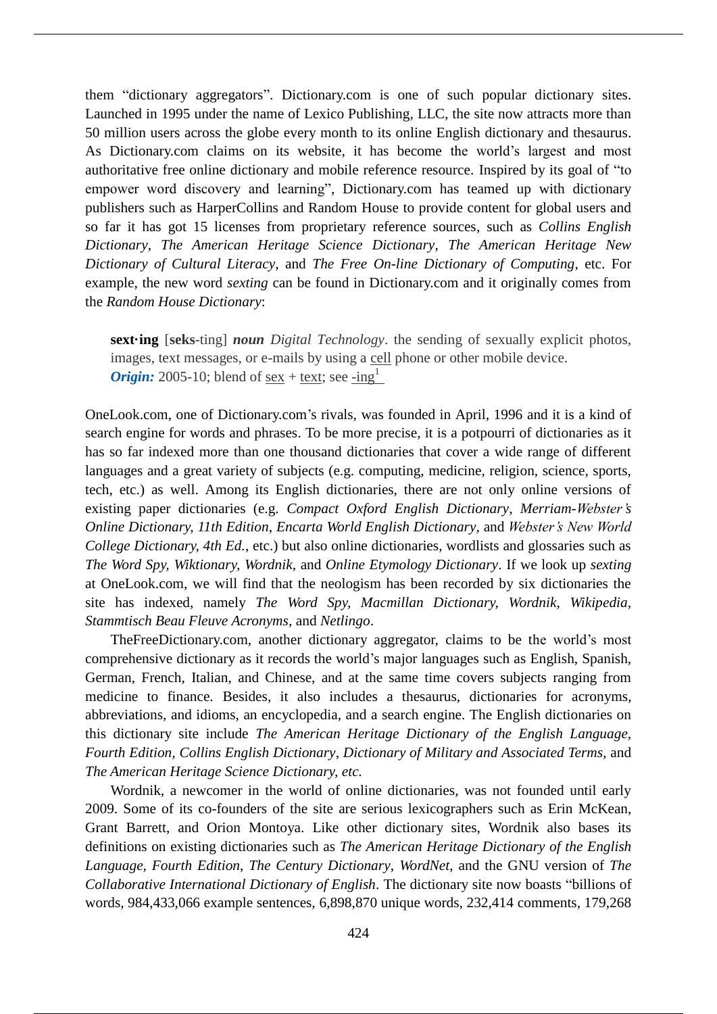them "dictionary aggregators". Dictionary.com is one of such popular dictionary sites. Launched in 1995 under the name of Lexico Publishing, LLC, the site now attracts more than 50 million users across the globe every month to its online English dictionary and thesaurus. As Dictionary.com claims on its website, it has become the world's largest and most authoritative free online dictionary and mobile reference resource. Inspired by its goal of "to empower word discovery and learning", Dictionary.com has teamed up with dictionary publishers such as HarperCollins and Random House to provide content for global users and so far it has got 15 licenses from proprietary reference sources, such as *Collins English Dictionary*, *The American Heritage Science Dictionary*, *The American Heritage New Dictionary of Cultural Literacy*, and *The Free On-line Dictionary of Computing*, etc. For example, the new word *sexting* can be found in Dictionary.com and it originally comes from the *Random House Dictionary*:

**sext·ing** [**seks**-ting] *noun Digital Technology*. the sending of sexually explicit photos, images, text messages, or e-mails by using a cell phone or other mobile device. *Origin:* 2005-10; blend of sex + text; see -ing<sup>1</sup>

OneLook.com, one of Dictionary.com's rivals, was founded in April, 1996 and it is a kind of search engine for words and phrases. To be more precise, it is a potpourri of dictionaries as it has so far indexed more than one thousand dictionaries that cover a wide range of different languages and a great variety of subjects (e.g. computing, medicine, religion, science, sports, tech, etc.) as well. Among its English dictionaries, there are not only online versions of existing paper dictionaries (e.g. *Compact Oxford English Dictionary*, *Merriam-Webster's Online Dictionary, 11th Edition*, *Encarta World English Dictionary*, and *Webster's New World College Dictionary, 4th Ed.*, etc.) but also online dictionaries, wordlists and glossaries such as *The Word Spy, Wiktionary, Wordnik*, and *Online Etymology Dictionary*. If we look up *sexting* at OneLook.com, we will find that the neologism has been recorded by six dictionaries the site has indexed, namely *The Word Spy, Macmillan Dictionary, Wordnik, Wikipedia, Stammtisch Beau Fleuve Acronyms*, and *Netlingo*.

TheFreeDictionary.com, another dictionary aggregator, claims to be the world's most comprehensive dictionary as it records the world's major languages such as English, Spanish, German, French, Italian, and Chinese, and at the same time covers subjects ranging from medicine to finance. Besides, it also includes a thesaurus, dictionaries for acronyms, abbreviations, and idioms, an encyclopedia, and a search engine. The English dictionaries on this dictionary site include *The American Heritage Dictionary of the English Language, Fourth Edition, Collins English Dictionary*, *Dictionary of Military and Associated Terms*, and *The American Heritage Science Dictionary, etc.*

Wordnik, a newcomer in the world of online dictionaries, was not founded until early 2009. Some of its co-founders of the site are serious lexicographers such as Erin McKean, Grant Barrett, and Orion Montoya. Like other dictionary sites, Wordnik also bases its definitions on existing dictionaries such as *The American Heritage Dictionary of the English Language, Fourth Edition*, *The Century Dictionary*, *WordNet*, and the GNU version of *The Collaborative International Dictionary of English*. The dictionary site now boasts "billions of words, 984,433,066 example sentences, 6,898,870 unique words, 232,414 comments, 179,268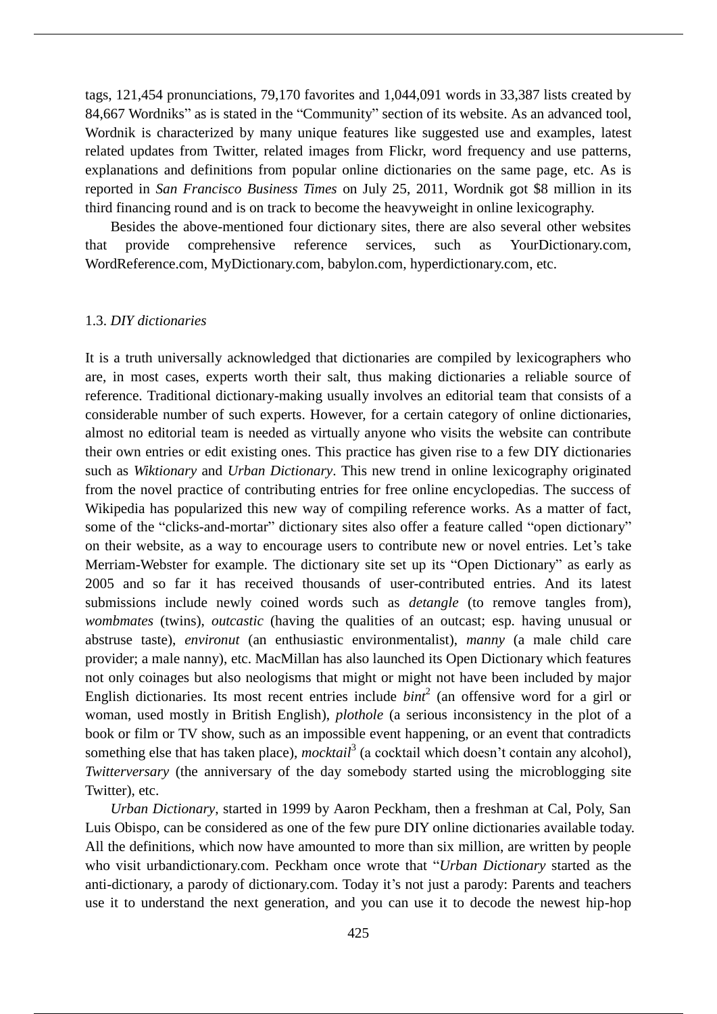tags, 121,454 pronunciations, 79,170 favorites and 1,044,091 words in 33,387 lists created by 84,667 Wordniks" as is stated in the "Community" section of its website. As an advanced tool, Wordnik is characterized by many unique features like suggested use and examples, latest related updates from Twitter, related images from Flickr, word frequency and use patterns, explanations and definitions from popular online dictionaries on the same page, etc. As is reported in *San Francisco Business Times* on July 25, 2011, Wordnik got \$8 million in its third financing round and is on track to become the heavyweight in online lexicography.

Besides the above-mentioned four dictionary sites, there are also several other websites that provide comprehensive reference services, such as YourDictionary.com, WordReference.com, MyDictionary.com, babylon.com, hyperdictionary.com, etc.

#### 1.3. *DIY dictionaries*

It is a truth universally acknowledged that dictionaries are compiled by lexicographers who are, in most cases, experts worth their salt, thus making dictionaries a reliable source of reference. Traditional dictionary-making usually involves an editorial team that consists of a considerable number of such experts. However, for a certain category of online dictionaries, almost no editorial team is needed as virtually anyone who visits the website can contribute their own entries or edit existing ones. This practice has given rise to a few DIY dictionaries such as *Wiktionary* and *Urban Dictionary*. This new trend in online lexicography originated from the novel practice of contributing entries for free online encyclopedias. The success of Wikipedia has popularized this new way of compiling reference works. As a matter of fact, some of the "clicks-and-mortar" dictionary sites also offer a feature called "open dictionary" on their website, as a way to encourage users to contribute new or novel entries. Let's take Merriam-Webster for example. The dictionary site set up its "Open Dictionary" as early as 2005 and so far it has received thousands of user-contributed entries. And its latest submissions include newly coined words such as *detangle* (to remove tangles from), *wombmates* (twins), *outcastic* (having the qualities of an outcast; esp. having unusual or abstruse taste), *environut* (an enthusiastic environmentalist), *manny* (a male child care provider; a male nanny), etc. MacMillan has also launched its Open Dictionary which features not only coinages but also neologisms that might or might not have been included by major English dictionaries. Its most recent entries include  $bint<sup>2</sup>$  (an offensive word for a girl or woman, used mostly in British English), *plothole* (a serious inconsistency in the plot of a book or film or TV show, such as an impossible event happening, or an event that contradicts something else that has taken place), *mocktail*<sup>3</sup> (a cocktail which doesn't contain any alcohol), *Twitterversary* (the anniversary of the day somebody started using the microblogging site Twitter), etc.

*Urban Dictionary*, started in 1999 by Aaron Peckham, then a freshman at Cal, Poly, San Luis Obispo, can be considered as one of the few pure DIY online dictionaries available today. All the definitions, which now have amounted to more than six million, are written by people who visit urbandictionary.com. Peckham once wrote that "*Urban Dictionary* started as the anti-dictionary, a parody of dictionary.com. Today it's not just a parody: Parents and teachers use it to understand the next generation, and you can use it to decode the newest hip-hop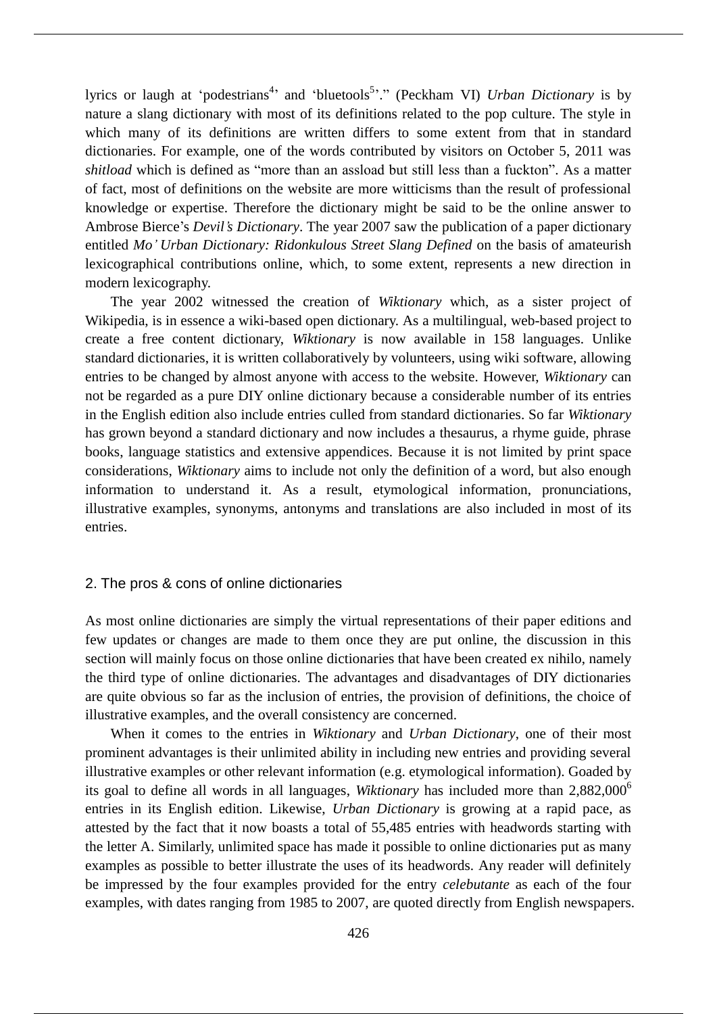lyrics or laugh at 'podestrians<sup>4</sup>' and 'bluetools<sup>5</sup>'." (Peckham VI) *Urban Dictionary* is by nature a slang dictionary with most of its definitions related to the pop culture. The style in which many of its definitions are written differs to some extent from that in standard dictionaries. For example, one of the words contributed by visitors on October 5, 2011 was *shitload* which is defined as "more than an assload but still less than a fuckton". As a matter of fact, most of definitions on the website are more witticisms than the result of professional knowledge or expertise. Therefore the dictionary might be said to be the online answer to Ambrose Bierce's *Devil's Dictionary*. The year 2007 saw the publication of a paper dictionary entitled *Mo' Urban Dictionary: Ridonkulous Street Slang Defined* on the basis of amateurish lexicographical contributions online, which, to some extent, represents a new direction in modern lexicography.

The year 2002 witnessed the creation of *Wiktionary* which, as a sister project of Wikipedia, is in essence a wiki-based open dictionary. As a multilingual, web-based project to create a free content dictionary, *Wiktionary* is now available in 158 languages. Unlike standard dictionaries, it is written collaboratively by volunteers, using wiki software, allowing entries to be changed by almost anyone with access to the website. However, *Wiktionary* can not be regarded as a pure DIY online dictionary because a considerable number of its entries in the English edition also include entries culled from standard dictionaries. So far *Wiktionary* has grown beyond a standard dictionary and now includes a thesaurus, a rhyme guide, phrase books, language statistics and extensive appendices. Because it is not limited by print space considerations, *Wiktionary* aims to include not only the definition of a word, but also enough information to understand it. As a result, etymological information, pronunciations, illustrative examples, synonyms, antonyms and translations are also included in most of its entries.

### 2. The pros & cons of online dictionaries

As most online dictionaries are simply the virtual representations of their paper editions and few updates or changes are made to them once they are put online, the discussion in this section will mainly focus on those online dictionaries that have been created ex nihilo, namely the third type of online dictionaries. The advantages and disadvantages of DIY dictionaries are quite obvious so far as the inclusion of entries, the provision of definitions, the choice of illustrative examples, and the overall consistency are concerned.

When it comes to the entries in *Wiktionary* and *Urban Dictionary*, one of their most prominent advantages is their unlimited ability in including new entries and providing several illustrative examples or other relevant information (e.g. etymological information). Goaded by its goal to define all words in all languages, *Wiktionary* has included more than 2,882,000<sup>6</sup> entries in its English edition. Likewise, *Urban Dictionary* is growing at a rapid pace, as attested by the fact that it now boasts a total of 55,485 entries with headwords starting with the letter A. Similarly, unlimited space has made it possible to online dictionaries put as many examples as possible to better illustrate the uses of its headwords. Any reader will definitely be impressed by the four examples provided for the entry *celebutante* as each of the four examples, with dates ranging from 1985 to 2007, are quoted directly from English newspapers.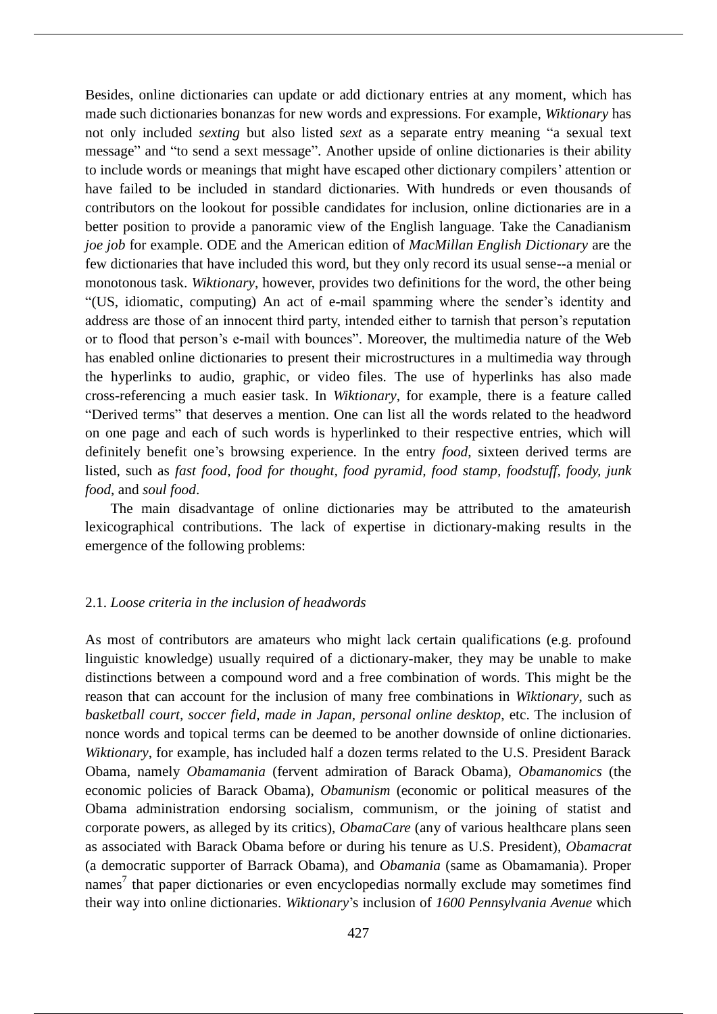Besides, online dictionaries can update or add dictionary entries at any moment, which has made such dictionaries bonanzas for new words and expressions. For example, *Wiktionary* has not only included *sexting* but also listed *sext* as a separate entry meaning "a sexual text message" and "to send a sext message". Another upside of online dictionaries is their ability to include words or meanings that might have escaped other dictionary compilers' attention or have failed to be included in standard dictionaries. With hundreds or even thousands of contributors on the lookout for possible candidates for inclusion, online dictionaries are in a better position to provide a panoramic view of the English language. Take the Canadianism *joe job* for example. ODE and the American edition of *MacMillan English Dictionary* are the few dictionaries that have included this word, but they only record its usual sense--a menial or monotonous task. *Wiktionary*, however, provides two definitions for the word, the other being "(US, idiomatic, computing) An act of e-mail spamming where the sender's identity and address are those of an innocent third party, intended either to tarnish that person's reputation or to flood that person's e-mail with bounces". Moreover, the multimedia nature of the Web has enabled online dictionaries to present their microstructures in a multimedia way through the hyperlinks to audio, graphic, or video files. The use of hyperlinks has also made cross-referencing a much easier task. In *Wiktionary*, for example, there is a feature called "Derived terms" that deserves a mention. One can list all the words related to the headword on one page and each of such words is hyperlinked to their respective entries, which will definitely benefit one's browsing experience. In the entry *food*, sixteen derived terms are listed, such as *fast food, food for thought, food pyramid, food stamp, foodstuff, foody, junk food*, and *soul food*.

The main disadvantage of online dictionaries may be attributed to the amateurish lexicographical contributions. The lack of expertise in dictionary-making results in the emergence of the following problems:

## 2.1. *Loose criteria in the inclusion of headwords*

As most of contributors are amateurs who might lack certain qualifications (e.g. profound linguistic knowledge) usually required of a dictionary-maker, they may be unable to make distinctions between a compound word and a free combination of words. This might be the reason that can account for the inclusion of many free combinations in *Wiktionary*, such as *basketball court, soccer field, made in Japan, personal online desktop*, etc. The inclusion of nonce words and topical terms can be deemed to be another downside of online dictionaries. *Wiktionary*, for example, has included half a dozen terms related to the U.S. President Barack Obama, namely *Obamamania* (fervent admiration of Barack Obama), *Obamanomics* (the economic policies of Barack Obama), *Obamunism* (economic or political measures of the Obama administration endorsing socialism, communism, or the joining of statist and corporate powers, as alleged by its critics), *ObamaCare* (any of various healthcare plans seen as associated with Barack Obama before or during his tenure as U.S. President), *Obamacrat* (a democratic supporter of Barrack Obama), and *Obamania* (same as Obamamania). Proper names<sup>7</sup> that paper dictionaries or even encyclopedias normally exclude may sometimes find their way into online dictionaries. *Wiktionary*'s inclusion of *1600 Pennsylvania Avenue* which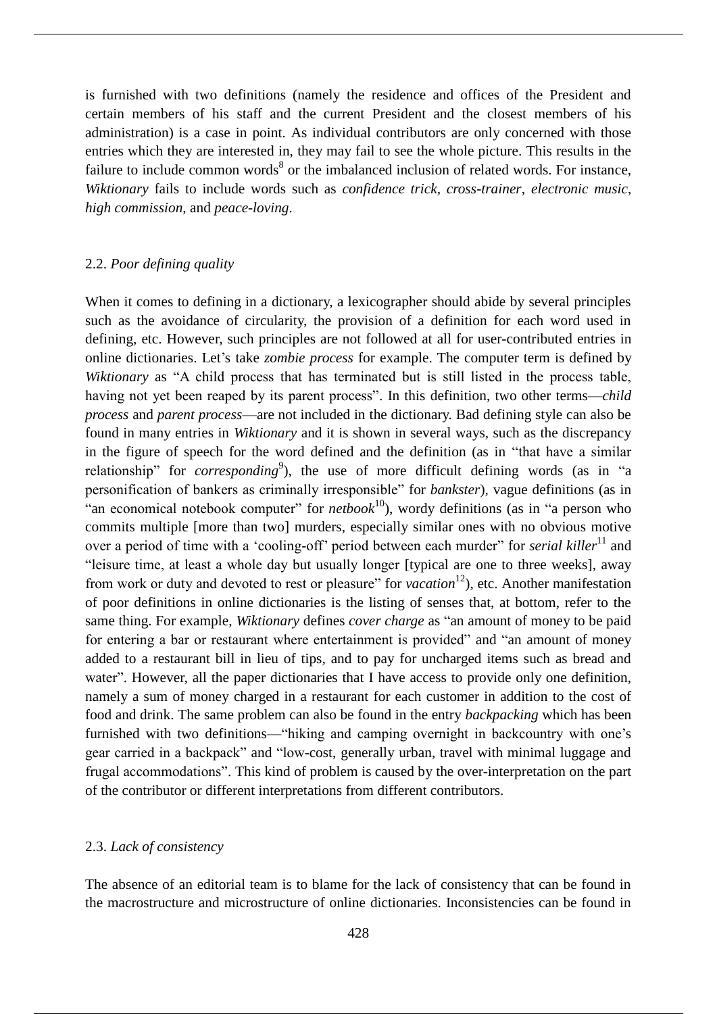is furnished with two definitions (namely the residence and offices of the President and certain members of his staff and the current President and the closest members of his administration) is a case in point. As individual contributors are only concerned with those entries which they are interested in, they may fail to see the whole picture. This results in the failure to include common words<sup>8</sup> or the imbalanced inclusion of related words. For instance, *Wiktionary* fails to include words such as *confidence trick, cross-trainer*, *electronic music*, *high commission*, and *peace-loving*.

# 2.2. *Poor defining quality*

When it comes to defining in a dictionary, a lexicographer should abide by several principles such as the avoidance of circularity, the provision of a definition for each word used in defining, etc. However, such principles are not followed at all for user-contributed entries in online dictionaries. Let's take *zombie process* for example. The computer term is defined by *Wiktionary* as "A child process that has terminated but is still listed in the process table, having not yet been reaped by its parent process". In this definition, two other terms—*child process* and *parent process*—are not included in the dictionary. Bad defining style can also be found in many entries in *Wiktionary* and it is shown in several ways, such as the discrepancy in the figure of speech for the word defined and the definition (as in "that have a similar relationship" for *corresponding*<sup>9</sup>), the use of more difficult defining words (as in "a personification of bankers as criminally irresponsible" for *bankster*), vague definitions (as in "an economical notebook computer" for  $netbook<sup>10</sup>$ , wordy definitions (as in "a person who commits multiple [more than two] murders, especially similar ones with no obvious motive over a period of time with a 'cooling-off' period between each murder" for *serial killer*<sup>11</sup> and "leisure time, at least a whole day but usually longer [typical are one to three weeks], away from work or duty and devoted to rest or pleasure" for *vacation*<sup>12</sup>), etc. Another manifestation of poor definitions in online dictionaries is the listing of senses that, at bottom, refer to the same thing. For example, *Wiktionary* defines *cover charge* as "an amount of money to be paid for entering a bar or restaurant where entertainment is provided" and "an amount of money added to a restaurant bill in lieu of tips, and to pay for uncharged items such as bread and water". However, all the paper dictionaries that I have access to provide only one definition, namely a sum of money charged in a restaurant for each customer in addition to the cost of food and drink. The same problem can also be found in the entry *backpacking* which has been furnished with two definitions—"hiking and camping overnight in backcountry with one's gear carried in a backpack" and "low-cost, generally urban, travel with minimal luggage and frugal accommodations". This kind of problem is caused by the over-interpretation on the part of the contributor or different interpretations from different contributors.

## 2.3. *Lack of consistency*

The absence of an editorial team is to blame for the lack of consistency that can be found in the macrostructure and microstructure of online dictionaries. Inconsistencies can be found in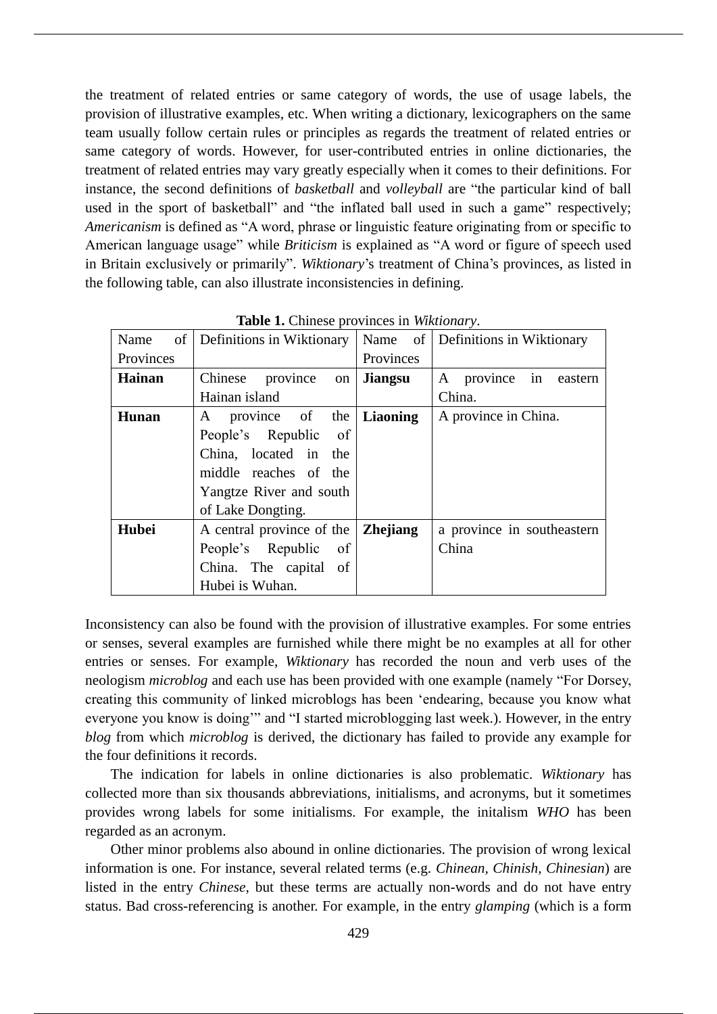the treatment of related entries or same category of words, the use of usage labels, the provision of illustrative examples, etc. When writing a dictionary, lexicographers on the same team usually follow certain rules or principles as regards the treatment of related entries or same category of words. However, for user-contributed entries in online dictionaries, the treatment of related entries may vary greatly especially when it comes to their definitions. For instance, the second definitions of *basketball* and *volleyball* are "the particular kind of ball used in the sport of basketball" and "the inflated ball used in such a game" respectively; *Americanism* is defined as "A word, phrase or linguistic feature originating from or specific to American language usage" while *Briticism* is explained as "A word or figure of speech used in Britain exclusively or primarily". *Wiktionary*'s treatment of China's provinces, as listed in the following table, can also illustrate inconsistencies in defining.

| of<br>Name    | Definitions in Wiktionary | Name of         | Definitions in Wiktionary  |
|---------------|---------------------------|-----------------|----------------------------|
| Provinces     |                           | Provinces       |                            |
| <b>Hainan</b> | Chinese province<br>on    | <b>Jiangsu</b>  | A province in eastern      |
|               | Hainan island             |                 | China.                     |
| Hunan         | A province of the         | <b>Liaoning</b> | A province in China.       |
|               | People's Republic<br>of   |                 |                            |
|               | China, located in the     |                 |                            |
|               | middle reaches of the     |                 |                            |
|               | Yangtze River and south   |                 |                            |
|               | of Lake Dongting.         |                 |                            |
| Hubei         | A central province of the | <b>Zhejiang</b> | a province in southeastern |
|               | People's Republic of      |                 | China                      |
|               | China. The capital of     |                 |                            |
|               | Hubei is Wuhan.           |                 |                            |

**Table 1.** Chinese provinces in *Wiktionary*.

Inconsistency can also be found with the provision of illustrative examples. For some entries or senses, several examples are furnished while there might be no examples at all for other entries or senses. For example, *Wiktionary* has recorded the noun and verb uses of the neologism *microblog* and each use has been provided with one example (namely "For Dorsey, creating this community of linked microblogs has been 'endearing, because you know what everyone you know is doing'" and "I started microblogging last week.). However, in the entry *blog* from which *microblog* is derived, the dictionary has failed to provide any example for the four definitions it records.

The indication for labels in online dictionaries is also problematic. *Wiktionary* has collected more than six thousands abbreviations, initialisms, and acronyms, but it sometimes provides wrong labels for some initialisms. For example, the initalism *WHO* has been regarded as an acronym.

Other minor problems also abound in online dictionaries. The provision of wrong lexical information is one. For instance, several related terms (e.g. *Chinean, Chinish, Chinesian*) are listed in the entry *Chinese*, but these terms are actually non-words and do not have entry status. Bad cross-referencing is another. For example, in the entry *glamping* (which is a form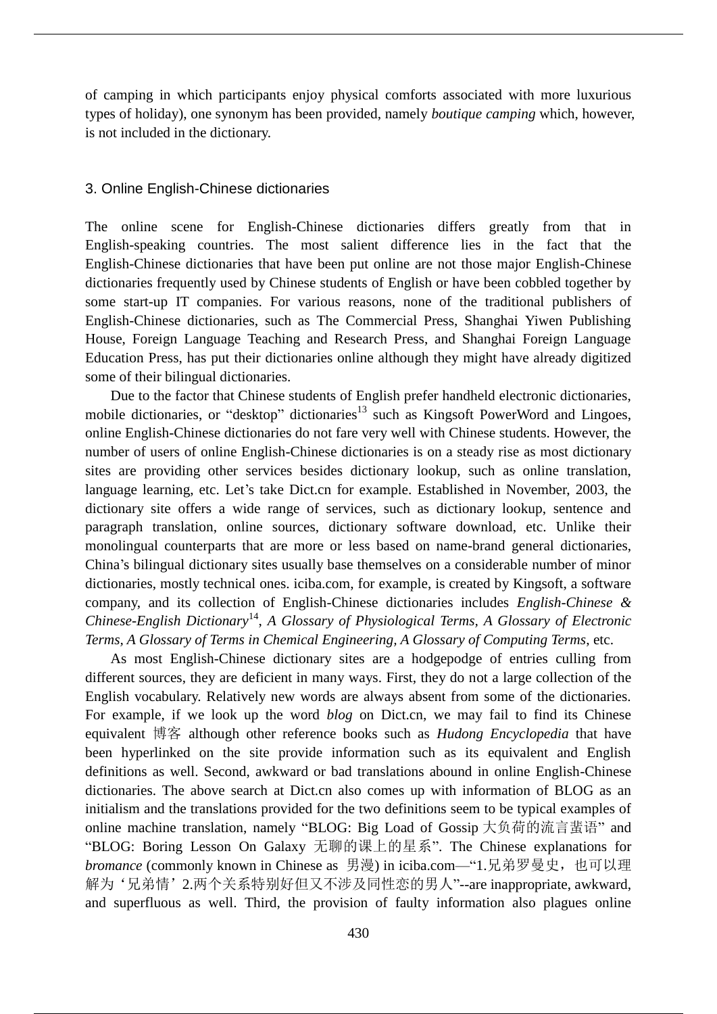of camping in which participants enjoy physical comforts associated with more luxurious types of holiday), one synonym has been provided, namely *boutique camping* which, however, is not included in the dictionary.

## 3. Online English-Chinese dictionaries

The online scene for English-Chinese dictionaries differs greatly from that in English-speaking countries. The most salient difference lies in the fact that the English-Chinese dictionaries that have been put online are not those major English-Chinese dictionaries frequently used by Chinese students of English or have been cobbled together by some start-up IT companies. For various reasons, none of the traditional publishers of English-Chinese dictionaries, such as The Commercial Press, Shanghai Yiwen Publishing House, Foreign Language Teaching and Research Press, and Shanghai Foreign Language Education Press, has put their dictionaries online although they might have already digitized some of their bilingual dictionaries.

Due to the factor that Chinese students of English prefer handheld electronic dictionaries, mobile dictionaries, or "desktop" dictionaries<sup>13</sup> such as Kingsoft PowerWord and Lingoes, online English-Chinese dictionaries do not fare very well with Chinese students. However, the number of users of online English-Chinese dictionaries is on a steady rise as most dictionary sites are providing other services besides dictionary lookup, such as online translation, language learning, etc. Let's take Dict.cn for example. Established in November, 2003, the dictionary site offers a wide range of services, such as dictionary lookup, sentence and paragraph translation, online sources, dictionary software download, etc. Unlike their monolingual counterparts that are more or less based on name-brand general dictionaries, China's bilingual dictionary sites usually base themselves on a considerable number of minor dictionaries, mostly technical ones. iciba.com, for example, is created by Kingsoft, a software company, and its collection of English-Chinese dictionaries includes *English-Chinese & Chinese-English Dictionary*<sup>14</sup> , *A Glossary of Physiological Terms, A Glossary of Electronic Terms, A Glossary of Terms in Chemical Engineering, A Glossary of Computing Terms*, etc.

As most English-Chinese dictionary sites are a hodgepodge of entries culling from different sources, they are deficient in many ways. First, they do not a large collection of the English vocabulary. Relatively new words are always absent from some of the dictionaries. For example, if we look up the word *blog* on Dict.cn, we may fail to find its Chinese equivalent 博客 although other reference books such as *Hudong Encyclopedia* that have been hyperlinked on the site provide information such as its equivalent and English definitions as well. Second, awkward or bad translations abound in online English-Chinese dictionaries. The above search at Dict.cn also comes up with information of BLOG as an initialism and the translations provided for the two definitions seem to be typical examples of online machine translation, namely "BLOG: Big Load of Gossip 大负荷的流言蜚语" and "BLOG: Boring Lesson On Galaxy 无聊的课上的星系". The Chinese explanations for *bromance* (commonly known in Chinese as 男漫) in iciba.com—"1.兄弟罗曼史,也可以理 解为'兄弟情'2.两个关系特别好但又不涉及同性恋的男人"--are inappropriate, awkward, and superfluous as well. Third, the provision of faulty information also plagues online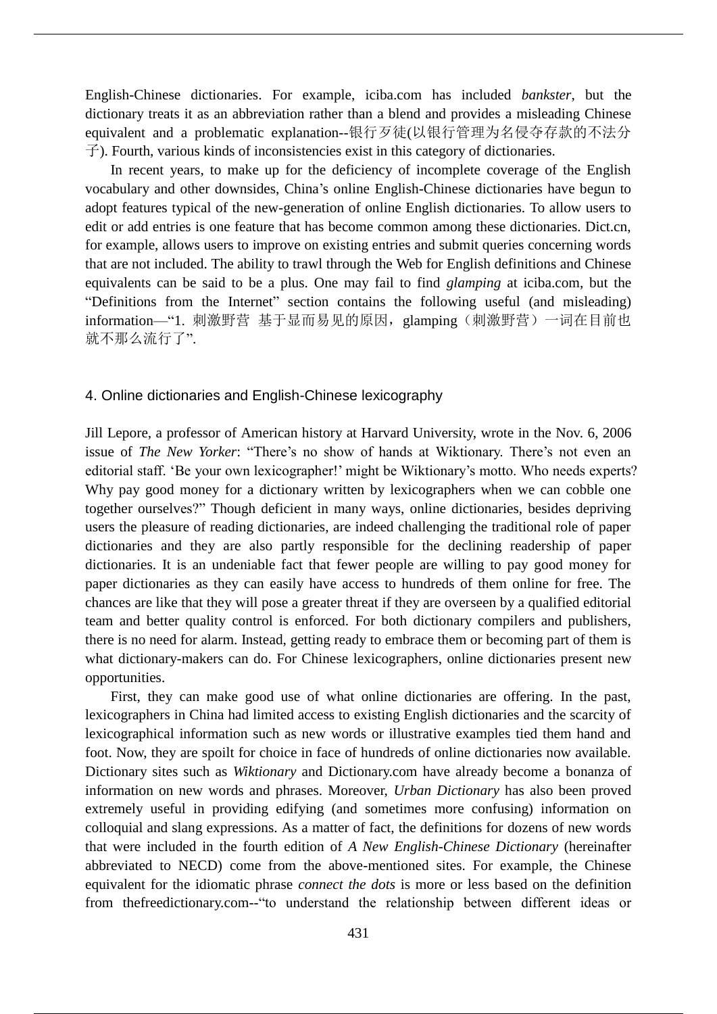English-Chinese dictionaries. For example, iciba.com has included *bankster*, but the dictionary treats it as an abbreviation rather than a blend and provides a misleading Chinese equivalent and a problematic explanation--银行歹徒(以银行管理为名侵夺存款的不法分 子). Fourth, various kinds of inconsistencies exist in this category of dictionaries.

In recent years, to make up for the deficiency of incomplete coverage of the English vocabulary and other downsides, China's online English-Chinese dictionaries have begun to adopt features typical of the new-generation of online English dictionaries. To allow users to edit or add entries is one feature that has become common among these dictionaries. Dict.cn, for example, allows users to improve on existing entries and submit queries concerning words that are not included. The ability to trawl through the Web for English definitions and Chinese equivalents can be said to be a plus. One may fail to find *glamping* at iciba.com, but the "Definitions from the Internet" section contains the following useful (and misleading) information—"1. 刺激野营 基于显而易见的原因, glamping (刺激野营) 一词在目前也 就不那么流行了".

## 4. Online dictionaries and English-Chinese lexicography

Jill Lepore, a professor of American history at Harvard University, wrote in the Nov. 6, 2006 issue of *The New Yorker*: "There's no show of hands at Wiktionary. There's not even an editorial staff. 'Be your own lexicographer!' might be Wiktionary's motto. Who needs experts? Why pay good money for a dictionary written by lexicographers when we can cobble one together ourselves?" Though deficient in many ways, online dictionaries, besides depriving users the pleasure of reading dictionaries, are indeed challenging the traditional role of paper dictionaries and they are also partly responsible for the declining readership of paper dictionaries. It is an undeniable fact that fewer people are willing to pay good money for paper dictionaries as they can easily have access to hundreds of them online for free. The chances are like that they will pose a greater threat if they are overseen by a qualified editorial team and better quality control is enforced. For both dictionary compilers and publishers, there is no need for alarm. Instead, getting ready to embrace them or becoming part of them is what dictionary-makers can do. For Chinese lexicographers, online dictionaries present new opportunities.

First, they can make good use of what online dictionaries are offering. In the past, lexicographers in China had limited access to existing English dictionaries and the scarcity of lexicographical information such as new words or illustrative examples tied them hand and foot. Now, they are spoilt for choice in face of hundreds of online dictionaries now available. Dictionary sites such as *Wiktionary* and Dictionary.com have already become a bonanza of information on new words and phrases. Moreover, *Urban Dictionary* has also been proved extremely useful in providing edifying (and sometimes more confusing) information on colloquial and slang expressions. As a matter of fact, the definitions for dozens of new words that were included in the fourth edition of *A New English-Chinese Dictionary* (hereinafter abbreviated to NECD) come from the above-mentioned sites. For example, the Chinese equivalent for the idiomatic phrase *connect the dots* is more or less based on the definition from thefreedictionary.com--"to understand the relationship between different ideas or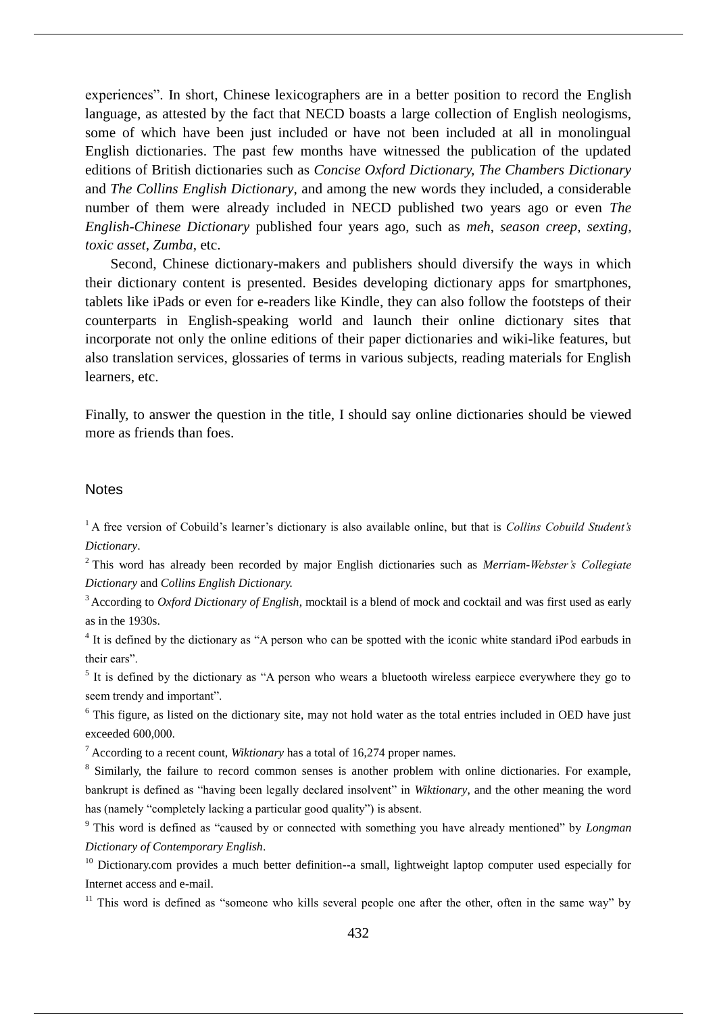experiences". In short, Chinese lexicographers are in a better position to record the English language, as attested by the fact that NECD boasts a large collection of English neologisms, some of which have been just included or have not been included at all in monolingual English dictionaries. The past few months have witnessed the publication of the updated editions of British dictionaries such as *Concise Oxford Dictionary, The Chambers Dictionary*  and *The Collins English Dictionary*, and among the new words they included, a considerable number of them were already included in NECD published two years ago or even *The English-Chinese Dictionary* published four years ago, such as *meh*, *season creep, sexting, toxic asset*, *Zumba*, etc.

Second, Chinese dictionary-makers and publishers should diversify the ways in which their dictionary content is presented. Besides developing dictionary apps for smartphones, tablets like iPads or even for e-readers like Kindle, they can also follow the footsteps of their counterparts in English-speaking world and launch their online dictionary sites that incorporate not only the online editions of their paper dictionaries and wiki-like features, but also translation services, glossaries of terms in various subjects, reading materials for English learners, etc.

Finally, to answer the question in the title, I should say online dictionaries should be viewed more as friends than foes.

## **Notes**

<sup>1</sup> A free version of Cobuild's learner's dictionary is also available online, but that is *Collins Cobuild Student's Dictionary*.

<sup>2</sup> This word has already been recorded by major English dictionaries such as *Merriam-Webster's Collegiate Dictionary* and *Collins English Dictionary.*

<sup>3</sup> According to *Oxford Dictionary of English*, mocktail is a blend of mock and cocktail and was first used as early as in the 1930s.

<sup>4</sup> It is defined by the dictionary as "A person who can be spotted with the iconic white standard iPod earbuds in their ears".

<sup>5</sup> It is defined by the dictionary as "A person who wears a bluetooth wireless earpiece everywhere they go to seem trendy and important".

<sup>6</sup> This figure, as listed on the dictionary site, may not hold water as the total entries included in OED have just exceeded 600,000.

<sup>7</sup> According to a recent count, *Wiktionary* has a total of 16,274 proper names.

<sup>8</sup> Similarly, the failure to record common senses is another problem with online dictionaries. For example, bankrupt is defined as "having been legally declared insolvent" in *Wiktionary*, and the other meaning the word has (namely "completely lacking a particular good quality") is absent.

<sup>9</sup> This word is defined as "caused by or connected with something you have already mentioned" by *Longman Dictionary of Contemporary English*.

<sup>10</sup> Dictionary.com provides a much better definition--a small, lightweight laptop computer used especially for Internet access and e-mail.

 $11$  This word is defined as "someone who kills several people one after the other, often in the same way" by